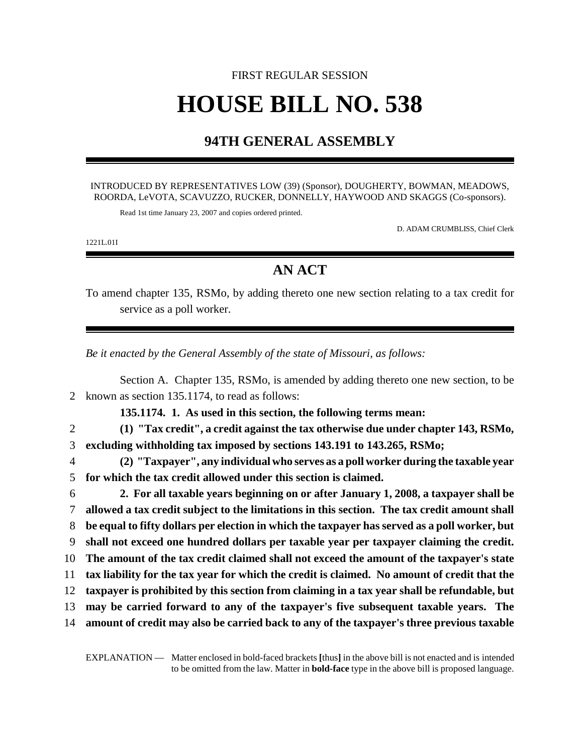## FIRST REGULAR SESSION **HOUSE BILL NO. 538**

## **94TH GENERAL ASSEMBLY**

## INTRODUCED BY REPRESENTATIVES LOW (39) (Sponsor), DOUGHERTY, BOWMAN, MEADOWS, ROORDA, LeVOTA, SCAVUZZO, RUCKER, DONNELLY, HAYWOOD AND SKAGGS (Co-sponsors).

Read 1st time January 23, 2007 and copies ordered printed.

D. ADAM CRUMBLISS, Chief Clerk

1221L.01I

## **AN ACT**

To amend chapter 135, RSMo, by adding thereto one new section relating to a tax credit for service as a poll worker.

*Be it enacted by the General Assembly of the state of Missouri, as follows:*

|                | Section A. Chapter 135, RSMo, is amended by adding thereto one new section, to be             |
|----------------|-----------------------------------------------------------------------------------------------|
| 2              | known as section 135.1174, to read as follows:                                                |
|                | 135.1174. 1. As used in this section, the following terms mean:                               |
| $\overline{2}$ | (1) "Tax credit", a credit against the tax otherwise due under chapter 143, RSMo,             |
| 3              | excluding withholding tax imposed by sections 143.191 to 143.265, RSMo;                       |
| $\overline{4}$ | (2) "Taxpayer", any individual who serves as a poll worker during the taxable year            |
| 5              | for which the tax credit allowed under this section is claimed.                               |
| 6              | 2. For all taxable years beginning on or after January 1, 2008, a taxpayer shall be           |
| 7              | allowed a tax credit subject to the limitations in this section. The tax credit amount shall  |
| 8              | be equal to fifty dollars per election in which the taxpayer has served as a poll worker, but |
| 9              | shall not exceed one hundred dollars per taxable year per taxpayer claiming the credit.       |
| 10             | The amount of the tax credit claimed shall not exceed the amount of the taxpayer's state      |
| 11             | tax liability for the tax year for which the credit is claimed. No amount of credit that the  |
| 12             | taxpayer is prohibited by this section from claiming in a tax year shall be refundable, but   |
| 13             | may be carried forward to any of the taxpayer's five subsequent taxable years. The            |
| 14             | amount of credit may also be carried back to any of the taxpayer's three previous taxable     |
|                |                                                                                               |